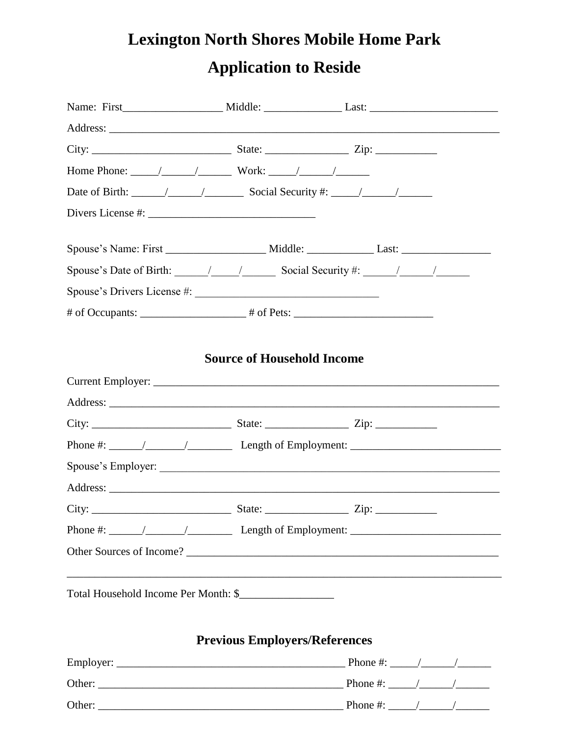## **Lexington North Shores Mobile Home Park Application to Reside**

| Date of Birth: $\frac{1}{\sqrt{1-\frac{1}{1-\frac{1}{1-\frac{1}{1-\frac{1}{1-\frac{1}{1-\frac{1}{1-\frac{1}{1-\frac{1}{1-\frac{1}{1-\frac{1}{1-\frac{1}{1-\frac{1}{1-\frac{1}{1-\frac{1}{1-\frac{1}{1-\frac{1}{1-\frac{1}{1-\frac{1}{1-\frac{1}{1-\frac{1}{1-\frac{1}{1-\frac{1}{1-\frac{1}{1-\frac{1}{1-\frac{1}{1-\frac{1}{1-\frac{1}{1-\frac{1}{1-\frac{1}{1-\frac{1}{1-\frac{1}{1-\frac{1}{1-\frac{1$                 |                                      |  |  |
|---------------------------------------------------------------------------------------------------------------------------------------------------------------------------------------------------------------------------------------------------------------------------------------------------------------------------------------------------------------------------------------------------------------------------|--------------------------------------|--|--|
|                                                                                                                                                                                                                                                                                                                                                                                                                           |                                      |  |  |
|                                                                                                                                                                                                                                                                                                                                                                                                                           |                                      |  |  |
| Spouse's Date of Birth: $\frac{1}{\sqrt{2}}$ / Social Security #: $\frac{1}{\sqrt{2}}$                                                                                                                                                                                                                                                                                                                                    |                                      |  |  |
|                                                                                                                                                                                                                                                                                                                                                                                                                           |                                      |  |  |
|                                                                                                                                                                                                                                                                                                                                                                                                                           |                                      |  |  |
|                                                                                                                                                                                                                                                                                                                                                                                                                           |                                      |  |  |
| Phone #: $\frac{1}{\sqrt{1-\frac{1}{\sqrt{1-\frac{1}{\sqrt{1-\frac{1}{\sqrt{1-\frac{1}{\sqrt{1-\frac{1}{\sqrt{1-\frac{1}{\sqrt{1-\frac{1}{\sqrt{1-\frac{1}{\sqrt{1-\frac{1}{\sqrt{1-\frac{1}{\sqrt{1-\frac{1}{\sqrt{1-\frac{1}{\sqrt{1-\frac{1}{\sqrt{1-\frac{1}{\sqrt{1-\frac{1}{\sqrt{1-\frac{1}{\sqrt{1-\frac{1}{\sqrt{1-\frac{1}{\sqrt{1-\frac{1}{\sqrt{1-\frac{1}{\sqrt{1-\frac{1}{\sqrt{1-\frac{1}{\sqrt{1-\frac{1$ |                                      |  |  |
|                                                                                                                                                                                                                                                                                                                                                                                                                           |                                      |  |  |
|                                                                                                                                                                                                                                                                                                                                                                                                                           |                                      |  |  |
| Phone #: $\frac{1}{\sqrt{1-\frac{1}{\sqrt{1-\frac{1}{\sqrt{1-\frac{1}{\sqrt{1-\frac{1}{\sqrt{1-\frac{1}{\sqrt{1-\frac{1}{\sqrt{1-\frac{1}{\sqrt{1-\frac{1}{\sqrt{1-\frac{1}{\sqrt{1-\frac{1}{\sqrt{1-\frac{1}{\sqrt{1-\frac{1}{\sqrt{1-\frac{1}{\sqrt{1-\frac{1}{\sqrt{1-\frac{1}{\sqrt{1-\frac{1}{\sqrt{1-\frac{1}{\sqrt{1-\frac{1}{\sqrt{1-\frac{1}{\sqrt{1-\frac{1}{\sqrt{1-\frac{1}{\sqrt{1-\frac{1}{\sqrt{1-\frac{1$ |                                      |  |  |
| Other Sources of Income?                                                                                                                                                                                                                                                                                                                                                                                                  |                                      |  |  |
| Total Household Income Per Month: \$                                                                                                                                                                                                                                                                                                                                                                                      |                                      |  |  |
|                                                                                                                                                                                                                                                                                                                                                                                                                           | <b>Previous Employers/References</b> |  |  |
|                                                                                                                                                                                                                                                                                                                                                                                                                           |                                      |  |  |
|                                                                                                                                                                                                                                                                                                                                                                                                                           |                                      |  |  |
| Other: $\Box$ Phone #: $\Box$ /                                                                                                                                                                                                                                                                                                                                                                                           |                                      |  |  |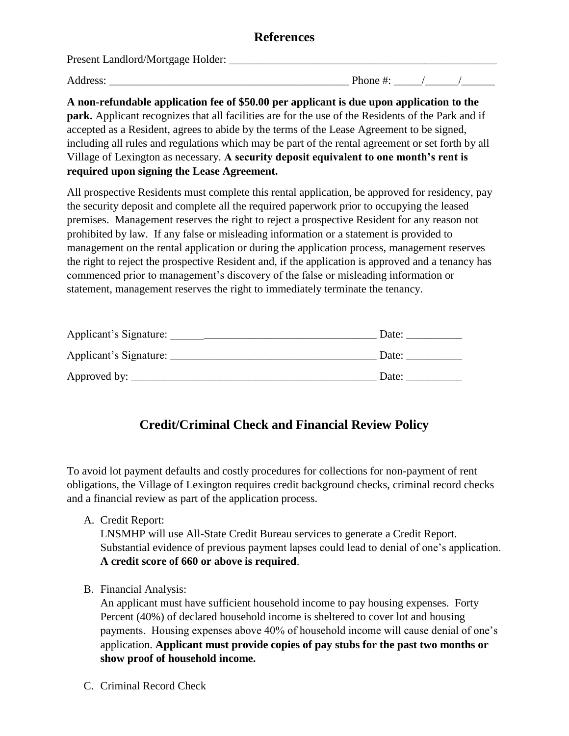## **References**

Present Landlord/Mortgage Holder: \_\_\_\_\_\_\_\_\_\_\_\_\_\_\_\_\_\_\_\_\_\_\_\_\_\_\_\_\_\_\_\_\_\_\_\_\_\_\_\_\_\_\_\_\_\_\_\_

Address: \_\_\_\_\_\_\_\_\_\_\_\_\_\_\_\_\_\_\_\_\_\_\_\_\_\_\_\_\_\_\_\_\_\_\_\_\_\_\_\_\_\_\_ Phone #: \_\_\_\_\_/\_\_\_\_\_\_/\_\_\_\_\_\_

**A non-refundable application fee of \$50.00 per applicant is due upon application to the park.** Applicant recognizes that all facilities are for the use of the Residents of the Park and if accepted as a Resident, agrees to abide by the terms of the Lease Agreement to be signed, including all rules and regulations which may be part of the rental agreement or set forth by all Village of Lexington as necessary. **A security deposit equivalent to one month's rent is required upon signing the Lease Agreement.** 

All prospective Residents must complete this rental application, be approved for residency, pay the security deposit and complete all the required paperwork prior to occupying the leased premises. Management reserves the right to reject a prospective Resident for any reason not prohibited by law. If any false or misleading information or a statement is provided to management on the rental application or during the application process, management reserves the right to reject the prospective Resident and, if the application is approved and a tenancy has commenced prior to management's discovery of the false or misleading information or statement, management reserves the right to immediately terminate the tenancy.

| Applicant's Signature: | Date: |
|------------------------|-------|
| Applicant's Signature: | Date: |
| Approved by:           | Date: |

## **Credit/Criminal Check and Financial Review Policy**

To avoid lot payment defaults and costly procedures for collections for non-payment of rent obligations, the Village of Lexington requires credit background checks, criminal record checks and a financial review as part of the application process.

A. Credit Report:

LNSMHP will use All-State Credit Bureau services to generate a Credit Report. Substantial evidence of previous payment lapses could lead to denial of one's application. **A credit score of 660 or above is required**.

B. Financial Analysis:

An applicant must have sufficient household income to pay housing expenses. Forty Percent (40%) of declared household income is sheltered to cover lot and housing payments. Housing expenses above 40% of household income will cause denial of one's application. **Applicant must provide copies of pay stubs for the past two months or show proof of household income.** 

C. Criminal Record Check